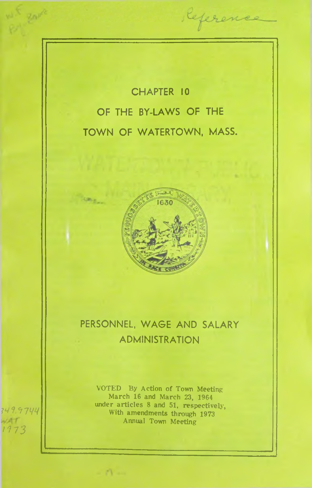CHAPTER 10 OF THE BY-LAWS OF THE TOWN OF WATERTOWN, MASS.

Referen



# PERSONNEL, WAGE AND SALARY ADMINISTRATION

VOTED By Action of Town Meeting March 16 and March 23, 1964 under articles 8 and 51, respectively, With amendments through 1973 Annual Town Meeting

 $-1$ 

349.9744 **/f73**

ST Rap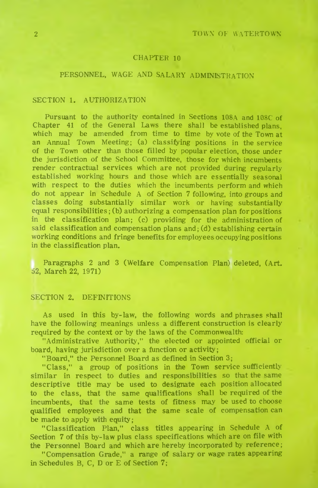## CHAPTER 10

## PERSONNEL, WAGE AND SALARY ADMINISTRATION

## SECTION 1. AUTHORIZATION

Pursuant to the authority contained in Sections 108A and 108C of Chapter 41 of the General Laws there shall be established plans, which may be amended from time to time by vote of the Town at an Annual Town Meeting; (a) classifying positions in the service of the Town other than those filled by popular election, those under the jurisdiction of the School Committee, those for which incumbents render contractual services which are not provided during regularly established working hours and those which are essentially seasonal with respect to the duties which the incumbents perform and which do not appear in Schedule  $A$  of Section 7 following, into groups and classes doing substantially sim ilar work or having substantially equal responsibilities; (b) authorizing a compensation plan for positions in the classification plan: (c) providing for the administration of said classification and compensation plans and;  $(d)$  establishing certain working conditions and fringe benefits for employees occupying positions in the classification plan.

Paragraphs 2 and 3 (Welfare Compensation Plan) deleted, (Art. *62,* M arch 22, 1971)

#### SECTION 2. DEFINITIONS

As used in this by-law, the following words and phrases shall have the following meanings unless a different construction is clearly required by the context or by the laws of the Commonwealth:

"Administrative Authority," the elected or appointed official or board, having jurisdiction over a function or activity;

"Board," the Personnel Board as defined in Section 3;

"Class," a group of positions in the Town service sufficiently similar in respect to duties and responsibilities so that the same descriptive title may be used to designate each position allocated to the class, that the same qualifications shall be required of the incumbents, that the same tests of fitness may be used to choose qualified employees and that the same scale of compensation can be made to apply with equity;

"C lassification Plan," class titles appearing in Schedule A of Section 7 of this by-law plus class specifications which are on file with the Personnel Board and which are hereby incorporated by reference;

"Compensation Grade," a range of salary or wage rates appearing in Schedules B, C, D or E of Section  $7$ ;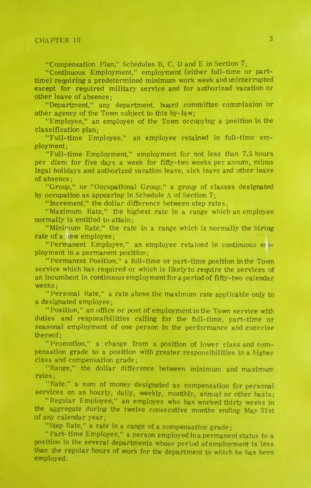"Compensation Plan," Schedules B, C, D and E in Section 7;

"Continuous Employment," employment (either full-time or parttime) requiring a predetermined minimum work week and uninterrupted except for required military service and for authorized vacation or other leave of absence;

"Department," any department, board committee commission or other agency of the Town subject to this by-law;

"Employee," an employee of the Town occupying a position in the classification plan;

"Full-time Employee," an employee retained in full-time employment;

"Full-time Employment," employment for not less than 7,5 hours per diem for five days a week for fifty-two weeks per annum, minus legal holidays and authorized vacation leave, sick leave and other leave of absence;

"Group," or "Occupational Group," a group of classes designated by occupation as appearing in Schedule A of Section 7;

"Increment," the dollar difference between step rates;

"Maximum Rate," the highest rate in a range which an employee normally is entitled to attain;

"Minimum Rate," the rate in a range which is normally the hiring rate of a new employee:

"Permanent Employee," an employee retained in continuous enployment in a permanent position;

"Permanent Position," a full-time or part-time position in the Town service which has required or which is likely to require the services of an incumbent in continuous employment for a period of fifty-two calendar weeks;

" Personal Rate," a rate above the maximum rate applicable only to a designated employee;

"Position," an office or post of employment in the Town service with duties and responsibilities calling for the full-time, part-time or seasonal employment of one person in the performance and exercise thereof;

"Promotion," a change from a position of lower class and compensation grade to a position with greater responsibilities in a higher class and compensation grade;

"Range," the dollar difference between minimum and maximum rates;

"Rate," a sum of money designated as compensation for personal services on an hourly, daily, weekly, monthly, annual or other basis;

"Regular Employee," an employee who has worked thirty weeks in the aggregate during the twelve consecutive months ending May 31st of any calendar year;

"Step Rate," a rate in a range of a compensation grade;

" Part-time Employee," a person employed ina permanent status to a position in the several departments whose period of employment is less than the regular hours of work for the department to which he has been employed.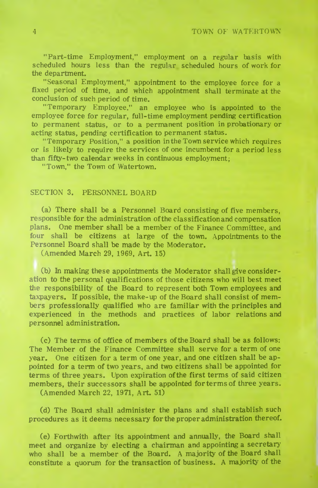"Part-time Employment," employment on a regular basis with scheduled hours less than the regular scheduled hours of work for the department.

"Seasonal Employment," appointment to the employee force for a fixed period of time, and which appointment shall terminate at the conclusion of such period of time.

"Temporary Employee," an employee who is appointed to the employee force for regular, full-time employment pending certification to permanent status, or to a permanent position in probationary or acting status, pending certification to permanent status.

"Temporary Position," a position in the Town service which requires or is likely to require the services of one incumbent for a period less than fifty-two calendar weeks in continuous employment:

"Town," the Town of Watertown.

## SECTION 3. PERSONNEL BOARD

(a) There shall be a Personnel Board consisting of five members, responsible for the administration of the classification and compensation plans. One member shall be a member of the Finance Committee, and four shall be citizens at large of the town. Appointments to the Personnel Board shall be made by the Moderator.

(Amended March 29, 1969, Art. 15)

 $(b)$  In making these appointments the Moderator shall give consideration to the personal qualifications of those citizens who will best meet the responsibility of the Board to represent both Town employees and taxpayers. If possible, the make-up of the Board shall consist of members professionally qualified who are familiar with the principles and experienced in the methods and practices of labor relations and personnel administration.

(c) The terms of office of members of the Board shall be as follows: The Member of the Finance Committee shall serve for a term of one year. One citizen for a term of one year, and one citizen shall be appointed for a term of two years, and two citizens shall be appointed for terms of three years. Upon expiration of the first terms of said citizen members, their successors shall be appointed for terms of three years.

(Am ended March 22, 1971, A rt. 51)

(d) The Board shall administer the plans and shall establish such procedures as it deems necessary for the proper administration thereof.

(e) Forthwith after its appointment and annually, the Board shall meet and organize by electing a chairman and appointing a secretary who shall be a member of the Board. A majority of the Board shall constitute a quorum for the transaction of business. A majority of the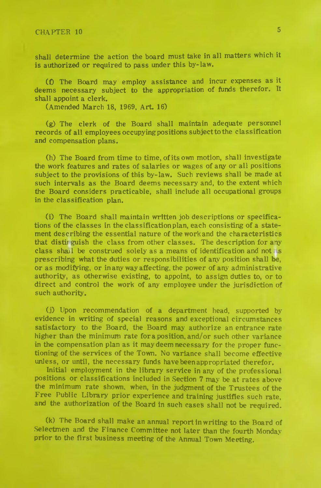shall determine the action the board must take in all matters which it is authorized or required to pass under this by-law.

(f) The Board may employ assistance and incur expenses as it deems necessary subject to the appropriation of funds therefor. It shall appoint a clerk.

(Amended March 18, 1969, Art. 16)

(g) The clerk of the Board shall maintain adequate personnel records of all employees occupying positions subject to the classification and compensation plans.

(h) The Board from time to time, of its own motion, shall investigate the work features and rates of salaries or wages of any or all positions subject to the provisions of this by-law. Such reviews shall be made at such intervals as the Board deems necessary and, to the extent which the Board considers practicable, shall include all occupational groups in the classification plan.

(i) The Board shall maintain written job descriptions or specifications of the classes in the classification plan, each consisting of a statement describing the essential nature of the work and the characteristics that distil guish the class from other classes. The description for any class shall be construed solely as a means of identification and not us prescribing what the duties or responsibilities of any position shall be, or as modifying, or in any way affecting, the power of any administrative authority, as otherwise existing, to appoint, to assign duties to, or to direct and control the work of any employee under the jurisdiction of such authority.

(j) Upon recommendation of a department head, supported by evidence in writing of special reasons and exceptional circumstances satisfactory to the Board, the Board may authorize an entrance rate higher than the minimum rate for a position, and/or such other variance in the compensation plan as it may deem necessary for the proper functioning of the services of the Town. No variance shall become effective unless, or until, the necessary funds have been appropriated therefor.

Initial employment in the library service in any of the professional positions or classifications included in Section 7 may be at rates above the minimum rate shown, when, in the judgment of the Trustees of the Free Public Library prior experience and training justifies such rate, and the authorization of the Board in such cases shall not be required.

(k) The Board shall make an annual report in writing to the Board of Selectmen and the Finance Committee not later than the fourth Monday prior to the first business meeting of the Annual Town Meeting.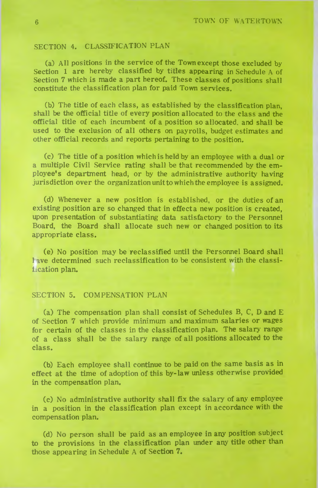## SECTION 4. CLASSIFICATION PLAN

(a) All positions in the service of the Town except those excluded by Section 1 are hereby classified by titles appearing in Schedule A of Section 7 which is made a part hereof. These classes of positions shall constitute the classification plan for paid Town services.

(b) The title of each class, as established by the classification plan. shall be the official title of every position allocated to the class and the official title of each incumbent of a position so allocated, and shall be used to the exclusion of all others on payrolls, budget estimates and other official records and reports pertaining to the position.

(c) The title of a position which is held by an employee with a dual or a multiple Civil Service rating shall be that recommended by the employee's department head, or by the administrative authority having jurisdiction over the organization unit to which the employee is assigned.

(d) Whenever a new position is established, or the duties of an existing position are so changed that in effect a new position is created, upon presentation of substantiating data satisfactory to the Personnel Board, the Board shall allocate such new or changed position to its appropriate class.

(e) No position may be reclassified until the Personnel Board shall 1 ave determ ined such reclassification to be consistent with the classification plan.

### SECTION 5. COMPENSATION PLAN

(a) The compensation plan shall consist of Schedules B, C, D and  $E$ of Section 7 which provide minimum and maximum salaries or wages for certain of the classes in the classification plan. The salary range of a class shall be the salary range of all positions allocated to the class.

(b) Each employee shall continue to be paid on the same basis as in effect at the time of adoption of this by-law unless otherwise provided in the compensation plan.

(c) No administrative authority shall fix the salary of any employee in a position in the classification plan except in accordance with the compensation plan.

(d) No person shall be paid as an employee in any position subject to the provisions in the classification plan under any title other than those appearing in Schedule  $A$  of Section  $7.$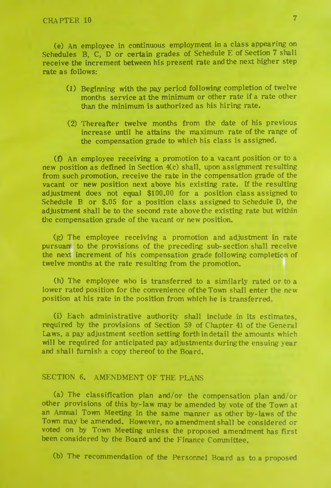(e) An employee in continuous employment in a class appearing on Schedules B, C, D or certain grades of Schedule E of Section 7 shall receive the increment between his present rate and the next higher step rate as follows:

- (1) Beginning with the pay period following completion of twelve months service at the minimum or other rate if a rate other than the minimum is authorized as his hiring rate.
- (2) Thereafter twelve months from the date of his previous increase until he attains the maximum rate of the range of the compensation grade to which his class is assigned.

(f) An employee receiving a promotion to a vacant position or to a new position as defined in Section 4(c) shall, upon assignment resulting from such promotion, receive the rate in the compensation grade of the vacant or new position next above his existing rate. If the resulting adjustment does not equal \$100.00 for a position class assigned to Schedule B or \$.05 for a position class assigned to Schedule D, the adjustment shall be to the second rate above the existing rate but within the compensation grade of the vacant or new position.

(g) The employee receiving a promotion and adjustment in rate pursuan to the provisions of the preceding sub-section shall receive the next increment of his compensation grade following completion of twelve months at the rate resulting from the promotion.

(h) The employee who is transferred to a similarly rated or to a lower rated position for the convenience of the Town shall enter the new position at his rate in the position from which he is transferred.

(i) Each administrative authority shall include in its estimates, required by the provisions of Section 59 of Chapter 41 of the General Laws, a pay adjustment section setting forth in detail the amounts which will be required for anticipated pay adjustments during the ensuing year and shall furnish a copy thereof to the Board.

#### SECTION 6. AMENDMENT OF THE PLANS

(a) The classification plan and/or the compensation plan and/or other provisions of this by-law may be amended by vote of the Town at an Annual Town Meeting in the same manner as other by-laws of the Town may be amended. However, no amendment shall be considered or voted on by Town Meeting unless the proposed amendment has first been considered by the Board and the Finance Committee.

(b) The recommendation of the Personnel Board as to a proposed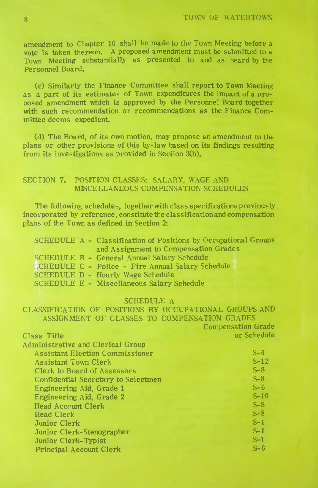amendment to Chapter 10 shall be made to the Town Meeting before a vote is taken thereon. A proposed amendment must be submitted to a Town Meeting substantially as presented to and as heard by the Personnel Board.

(c) Similarly the Finance Committee shall report to Town Meeting as a part of its estimates of Town expenditures the impact of a proposed amendment which is approved by the Personnel Board together with such recommendation or recommendations as the Finance Committee deems expedient.

(d) The Board, of its own motion, may propose an amendment to the plans or other provisions of this by-law based on its findings resulting from its investigations as provided in Section 3(h).

## SECTION 7. POSITION CLASSES: SALARY, WAGE AND MISCELLANEOUS COMPENSATION SCHEDULES

The following schedules, together with class specifications previously incorporated by reference, constitute the classificationand compensation plans of the Town as defined in Section  $2$ :

|  | SCHEDULE A - Classification of Positions by Occupational Groups |
|--|-----------------------------------------------------------------|
|  | and Assignment to Compensation Grades                           |
|  | SCHEDULE B - General Annual Salary Schedule                     |
|  | CHEDULE C - Police - Fire Annual Salary Schedule                |
|  | SCHEDULE D - Hourly Wage Schedule                               |
|  | SCHEDULE E - Miscellaneous Salary Schedule                      |

#### SCHEDULE A

CLASSIFICATION OF POSITIONS BY OCCUPATIONAL GROUPS AND ASSIGNMENT OF CLASSES TO COMPENSATION GRADES

|                                        | <b>Compensation Grade</b> |
|----------------------------------------|---------------------------|
| Class Title                            | or Schedule               |
| Administrative and Clerical Group      |                           |
| <b>Assistant Election Commissioner</b> | $S-4$                     |
| <b>Assistant Town Clerk</b>            | $S-12$                    |
| Clerk to Board of Assessors            | $S-8$                     |
| Confidential Secretary to Selectmen    | $S-8$                     |
| Engineering Aid, Grade 1               | $S-6$                     |
| Engineering Aid, Grade 2               | $S-10$                    |
| Head Account Clerk                     | $S-8$                     |
| <b>Head Clerk</b>                      | $S-8$                     |
| Junior Clerk                           | $S-1$                     |
| Junior Clerk-Stenographer              | $S-1$                     |
| Junior Clerk-Typist                    | $S-1$                     |
| Principal Account Clerk                | $S-6$                     |
|                                        |                           |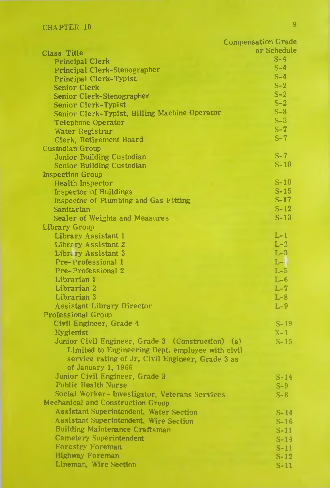|                                                   | Compensation Grade |
|---------------------------------------------------|--------------------|
| Class Title                                       | or Schedule        |
| <b>Principal Clerk</b>                            | $S-4$              |
| Principal Clerk-Stenographer                      | $S-4$              |
| Principal Clerk-Typist                            | $S-4$              |
| Senior Clerk                                      | $S-2$              |
| Senior Clerk-Stenographer                         | $S-2$              |
| Senior Clerk-Typist                               | $S-2$              |
| Senior Clerk-Typist, Billing Machine Operator     | $S-3$              |
| Telephone Operator                                | $S-3$              |
| Water Registrar                                   | $S - 7$            |
| Clerk, Retirement Board                           | $S - 7$            |
| Custodian Group                                   |                    |
| Junior Building Custodian                         | $S-7$              |
| Senior Building Custodian                         | $S-10$             |
| <b>Inspection Group</b>                           |                    |
| <b>Health Inspector</b>                           | $S-10$             |
| <b>Inspector of Buildings</b>                     | $S-15$             |
| Inspector of Plumbing and Gas Fitting             | $S-17$             |
| Sanitarian                                        | $S-12$             |
| Sealer of Weights and Measures                    | $S-13$             |
| Library Group                                     |                    |
| Library Assistant 1                               | $L-1$              |
| Library Assistant 2                               | $L-2$              |
| Libr. ry Assistant 3                              | $L-3$              |
| Pre-Professional 1                                | $L-1$              |
| Pre-Professional 2                                | $L-5$              |
| Librarian 1                                       | $L-6$              |
| Librarian 2                                       | $L-7$              |
| Librarian 3                                       | $L-8$              |
| <b>Assistant Library Director</b>                 | $L-9$              |
| Professional Group                                |                    |
| Civil Engineer, Grade 4                           | $S-19$             |
| Hygienist                                         | $X-1$              |
| Junior Civil Engineer, Grade 3 (Construction) (a) | $S-15$             |
| Limited to Engineering Dept. employee with civil  |                    |
| service rating of Jr. Civil Engineer, Grade 3 as  |                    |
| of January 1, 1966                                |                    |
| Junior Civil Engineer, Grade 3                    | $S-14$             |
| <b>Public Health Nurse</b>                        | $S-9$              |
| Social Worker-Investigator, Veterans Services     | $S-8$              |
| <b>Mechanical and Construction Group</b>          |                    |
| <b>Assistant Superintendent, Water Section</b>    |                    |
| Assistant Superintendent, Wire Section            | $S - 14$           |
|                                                   | $S-16$             |
| Building Maintenance Craftsman                    | $S-11$             |
| Cemetery Superintendent                           | $S-14$             |
| <b>Forestry Foreman</b>                           | $S-11$             |
| <b>Highway Foreman</b>                            | $S-12$             |
| Lineman, Wire Section                             | $S-11$             |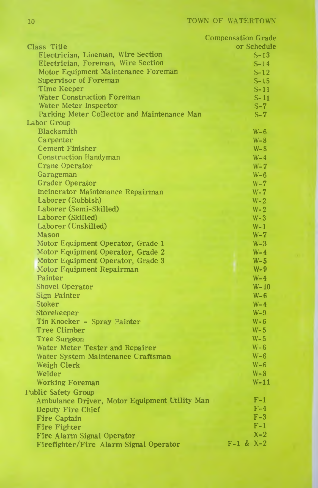|                                               | <b>Compensation Grade</b> |
|-----------------------------------------------|---------------------------|
| Class Title                                   | or Schedule               |
| Electrician, Lineman, Wire Section            | $S-13$                    |
| Electrician, Foreman, Wire Section            | $S-14$                    |
| Motor Equipment Maintenance Foreman           | $S-12$                    |
| Supervisor of Foreman                         | $S-15$                    |
| <b>Time Keeper</b>                            | $S-11$                    |
| <b>Water Construction Foreman</b>             | $S-11$                    |
| Water Meter Inspector                         | $S-7$                     |
| Parking Meter Collector and Maintenance Man   | $S - 7$                   |
| Labor Group                                   |                           |
| Blacksmith                                    | $W - 6$                   |
| Carpenter                                     | $W - 8$                   |
| <b>Cement Finisher</b>                        | $W - 8$                   |
| <b>Construction Handyman</b>                  | $W-4$                     |
| Crane Operator                                | $W - 7$                   |
| Garageman                                     | $W - 6$                   |
| <b>Grader Operator</b>                        | $W - 7$                   |
| Incinerator Maintenance Repairman             | $W - 7$                   |
| Laborer (Rubbish)                             | $W - 2$                   |
| Laborer (Semi-Skilled)                        | $W-2$                     |
| Laborer (Skilled)                             | $W-3$                     |
| Laborer (Unskilled)                           | $W-1$                     |
| Mason                                         | $W - 7$                   |
| Motor Equipment Operator, Grade 1             | $W-3$                     |
| Motor Equipment Operator, Grade 2             | $W-4$                     |
| Motor Equipment Operator, Grade 3             | $W-5$                     |
| Motor Equipment Repairman                     | $W-9$                     |
| Painter                                       | $W-4$                     |
| Shovel Operator                               | $W-10$                    |
| Sign Painter                                  | $W - 6$                   |
| <b>Stoker</b>                                 | $W-4$                     |
| Storekeeper                                   | $W-9$                     |
| Tin Knocker - Spray Painter                   | $W - 6$                   |
| <b>Tree Climber</b>                           | $W-5$                     |
| <b>Tree Surgeon</b>                           | $W-5$                     |
| Water Meter Tester and Repairer               | $W - 6$                   |
| Water System Maintenance Craftsman            | $W - 6$                   |
| Weigh Clerk                                   | $W - 6$                   |
| Welder                                        | $W - 8$                   |
|                                               | $W-11$                    |
| <b>Working Foreman</b>                        |                           |
| Public Safety Group                           |                           |
| Ambulance Driver, Motor Equipment Utility Man | $F-1$                     |
| Deputy Fire Chief                             | $F-4$                     |
| Fire Captain                                  | $F-3$                     |
| Fire Fighter                                  | $F-1$                     |
| Fire Alarm Signal Operator                    | $X - 2$                   |
| Firefighter/Fire Alarm Signal Operator        | $F-1$ & X-2               |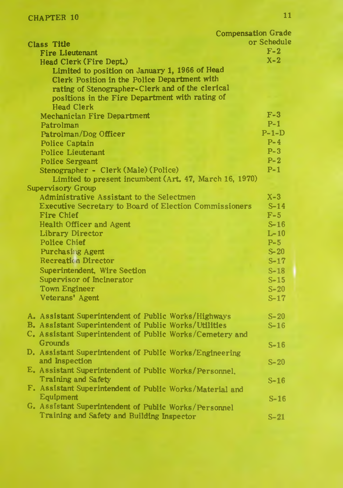| Compensation Grade                                            |             |
|---------------------------------------------------------------|-------------|
| Class Title                                                   | or Schedule |
| <b>Fire Lieutenant</b>                                        | $F-2$       |
| Head Clerk (Fire Dept.)                                       | $X - 2$     |
| Limited to position on January 1, 1966 of Head                |             |
| Clerk Position in the Police Department with                  |             |
| rating of Stenographer-Clerk and of the clerical              |             |
| positions in the Fire Department with rating of               |             |
| <b>Head Clerk</b>                                             |             |
| Mechanician Fire Department                                   | $F-3$       |
| Patrolman                                                     | $P-1$       |
| Patrolman/Dog Officer                                         | $P-1-D$     |
| Police Captain                                                | $P-4$       |
| <b>Police Lieutenant</b>                                      | $P-3$       |
| <b>Police Sergeant</b>                                        | $P - 2$     |
| Stenographer - Clerk (Male) (Police)                          | $P-1$       |
| Limited to present incumbent (Art. 47, March 16, 1970)        |             |
| <b>Supervisory Group</b>                                      |             |
| Administrative Assistant to the Selectmen                     | $X-3$       |
| <b>Executive Secretary to Board of Election Commissioners</b> | $S-14$      |
| Fire Chief                                                    | $F-5$       |
| Health Officer and Agent                                      | $S-16$      |
| <b>Library Director</b>                                       | $L-10$      |
| <b>Police Chief</b>                                           | $P-5$       |
| Purchasing Agent                                              | $S-20$      |
| Recreation Director                                           | $S-17$      |
| Superintendent, Wire Section                                  | $S-18$      |
| Supervisor of Incinerator                                     | $S-15$      |
| <b>Town Engineer</b>                                          | $S-20$      |
| Veterans' Agent                                               | $S-17$      |
|                                                               |             |
| A. Assistant Superintendent of Public Works/Highways          | $S-20$      |
| B. Assistant Superintendent of Public Works/Utilities         | $S-16$      |
| C. Assistant Superintendent of Public Works/Cemetery and      |             |
| Grounds                                                       | $S-16$      |
| D. Assistant Superintendent of Public Works/Engineering       |             |
| and Inspection                                                | $S-20$      |
| E. Assistant Superintendent of Public Works/Personnel.        |             |
| <b>Training and Safety</b>                                    | $S-16$      |
| F. Assistant Superintendent of Public Works/Material and      |             |
| Equipment                                                     | $S-16$      |
| G. Assistant Superintendent of Public Works/Personnel         |             |
| Training and Safety and Building Inspector                    | $S-21$      |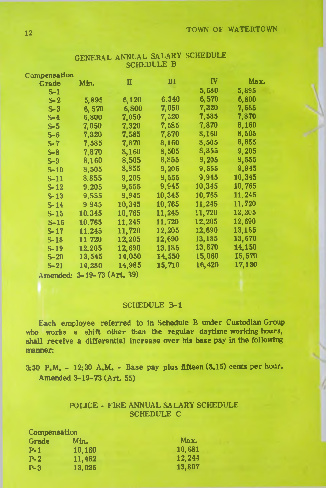| Compensation |        |        |        |              |        |
|--------------|--------|--------|--------|--------------|--------|
| Grade        | Min.   | п      | Ш      | $\mathbf{r}$ | Max.   |
| $S-1$        |        |        |        | 5,680        | 5,895  |
| $S-2$        | 5,895  | 6,120  | 6,340  | 6,570        | 6,800  |
| $S - 3$      | 6,570  | 6,800  | 7,050  | 7,320        | 7,585  |
| $S-4$        | 6,800  | 7,050  | 7,320  | 7,585        | 7,870  |
| $S - 5$      | 7,050  | 7,320  | 7,585  | 7,870        | 8,160  |
| $S - 6$      | 7,320  | 7,585  | 7,870  | 8,160        | 8,505  |
| S-7          | 7,585  | 7,870  | 8,160  | 8,505        | 8,855  |
| $S-8$        | 7,870  | 8,160  | 8,505  | 8,855        | 9,205  |
| $S-9$        | 8,160  | 8,505  | 8,855  | 9,205        | 9,555  |
| $S-10$       | 8,505  | 8,855  | 9,205  | 9,555        | 9,945  |
| $S-11$       | 8,855  | 9,205  | 9,555  | 9,945        | 10,345 |
| $S-12$       | 9,205  | 9,555  | 9,945  | 10,345       | 10,765 |
| $S-13$       | 9,555  | 9,945  | 10,345 | 10,765       | 11,245 |
| $S-14$       | 9,945  | 10,345 | 10,765 | 11,245       | 11,720 |
| $S-15$       | 10,345 | 10,765 | 11,245 | 11,720       | 12,205 |
| S-16         | 10,765 | 11,245 | 11,720 | 12,205       | 12,690 |
| $S-17$       | 11,245 | 11,720 | 12,205 | 12,690       | 13,185 |
| $S-18$       | 11,720 | 12,205 | 12,690 | 13,185       | 13,670 |
| S-19         | 12,205 | 12,690 | 13,185 | 13,670       | 14,150 |
| $S-20$       | 13,545 | 14,050 | 14,550 | 15,060       | 15,570 |
| $S-21$       | 14,280 | 14,985 | 15,710 | 16,420       | 17,130 |
|              |        |        |        |              |        |

#### GENERAL ANNUAL SALARY SCHEDULE **SCHEDULE B**

A**mended: 3-19-73 (Art. 39)** 

### SCHEDULE B-1

Each employee referred to in Schedule B under Custodian Group who works a shift other than the regular daytime working hours, shall receive a differential increase over his base pay in the following manner;

3:30 P.M. - 12:30 A.M. - Base pay plus fifteen (\$.15) cents per hour. Amended 3-19-73 (Art. 55)

## POLICE - FIRE ANNUAL SALARY SCHEDULE SCHEDULE C

| <b>Compensation</b> |        |        |
|---------------------|--------|--------|
| Grade               | Min.   | Max.   |
| $P-1$               | 10.160 | 10.681 |
| $P-2$               | 11.462 | 12.244 |
| $P-3$               | 13.025 | 13,807 |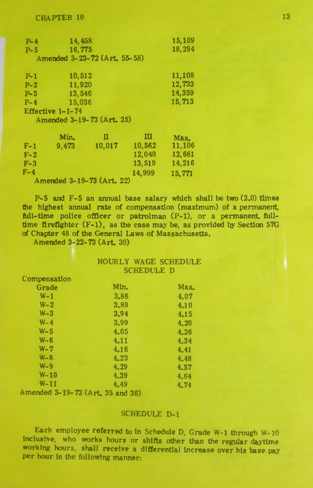| $P-4$   | 14,458           |                              |        |        |  |
|---------|------------------|------------------------------|--------|--------|--|
| $P-5$   | 16,775           |                              |        |        |  |
|         |                  | Amended 3-23-72 (Art. 55-58) |        |        |  |
| $P-1$   | 10,512           |                              |        | 11,108 |  |
| $P-2$   | 11,920           |                              |        | 12,733 |  |
| $P-3$   | 13,546           |                              |        | 14.359 |  |
| $P - 4$ |                  | 15,713                       |        |        |  |
|         | Effective 1-1-74 |                              |        |        |  |
|         |                  | Amended 3-19-73 (Art. 25)    |        |        |  |
|         | Min.             | п                            | ш      | Max.   |  |
| $F-1$   | 9,473            | 10,017                       | 10,562 | 11,106 |  |
| $F-2$   |                  |                              | 12,040 | 12,661 |  |
| $F-3$   |                  |                              | 13.519 | 14.216 |  |

 $F-4$  14,999 15,771

Amended 3-19-73 (Art. 22)

P-5 and F-5 an annual base salary which shall be two  $(2.0)$  times the highest annual rate of compensation (maximum) of a permanent, full-time police officer or patrolman (P-1), or a permanent, fulltime firefighter  $(F-1)$ , as the case may be, as provided by Section 57G of Chapter 48 of the General Laws of Massachusetts.

Amended 3-22-73 (Art. 30)

## HOURLY WAGE SCHEDULE SCHEDULE D

| Compensation                     |      |      |
|----------------------------------|------|------|
| Grade                            | Min. | Max. |
| $W-1$                            | 3.86 | 4.07 |
| $W - 2$                          | 3.89 | 4.10 |
| $W-3$                            | 3.94 | 4.15 |
| $W - 4$                          | 3.99 | 4.20 |
| $W - 5$                          | 4.05 | 4.26 |
| $W - 6$                          | 4.11 | 4.34 |
| $W - 7$                          | 4.16 | 4.41 |
| $W - 8$                          | 4.23 | 4.48 |
| $W - 9$                          | 4.29 | 4.57 |
| $W-10$                           | 4.39 | 4.64 |
| $W - 11$                         | 4.49 | 4.74 |
| Amended 3-19-73 (Art, 35 and 36) |      |      |
|                                  |      |      |

SCHEDULE D-l

Each employee referred to in Schedule D, Grade W-l through W-10 inclusive, who works hours or shifts other than the regular daytime working hours, shall receive a differential increase over his base pay per hour in the following manner: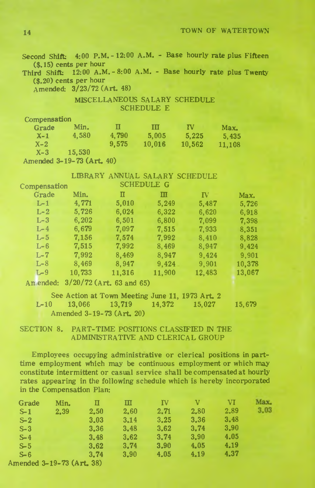**14** TOWN OF WATERTOWN

Second Shift:  $4:00$  P.M. - 12:00 A.M. - Base hourly rate plus Fifteen (\$.15) cents per hour

Third Shift: 12:00 A.M.-8:00 A.M. - Base hourly rate plus Twenty (\$.20) cents per hour

Amended: 3/23/72 (Art. 48)

## MISCELLANEOUS SALARY SCHEDULE SCHEDULE E

| <b>Compensation</b> |                           |       |        |        |        |
|---------------------|---------------------------|-------|--------|--------|--------|
| Grade               | Min.                      | Ш     | Ш      | TV.    | Max.   |
| $X-1$               | 4.580                     | 4.790 | 5.005  | 5.225  | 5.435  |
| $X-2$               |                           | 9.575 | 10,016 | 10,562 | 11,108 |
| $X-3$               | 15.530                    |       |        |        |        |
|                     | Amended 3-19-73 (Art. 40) |       |        |        |        |

## LIBRARY ANNUAL SALARY SCHEDULE

| Compensation |        |        | <b>SCHEDULE G</b> |             |        |
|--------------|--------|--------|-------------------|-------------|--------|
| Grade        | Min.   | П      | Ш                 | ${\bf I}$ V | Max.   |
| $L-1$        | 4,771  | 5,010  | 5,249             | 5,487       | 5,726  |
| $L-2$        | 5,726  | 6,024  | 6,322             | 6,620       | 6,918  |
| $L-3$        | 6,202  | 6,501  | 6,800             | 7,099       | 7,398  |
| $L-4$        | 6,679  | 7,097  | 7.515             | 7,933       | 8,351  |
| $L-5$        | 7.156  | 7.574  | 7,992             | 8,410       | 8,828  |
| $L-6$        | 7,515  | 7,992  | 8,469             | 8,947       | 9,424  |
| $L-7$        | 7,992  | 8,469  | 8.947             | 9,424       | 9,901  |
| $L-8$        | 8,469  | 8,947  | 9,424             | 9,901       | 10,378 |
| $L-9$        | 10,733 | 11,316 | 11,900            | 12,483      | 13,067 |
|              |        |        |                   |             |        |

An ended: 3/20/72 (Art. 63 and 65)

See Action at Town Meeting June 11, 1973 Art. 2 L-10 13,066 13,719 14,372 15,027 15,679 Amended 3-19-73 (Art. 20)

## SECTION 8. PART-TIME POSITIONS CLASSIFIED IN THE ADMINISTRATIVE AND CLERICAL GROUP

Employees occupying administrative or clerical positions in parttime employment which may be continuous employment or which may constitute intermittent or casual service shall be compensated at hourly rates appearing in the following schedule which is hereby incorporated in the Compensation Plan:

| Grade                     | Min. | П    | Ш    | ΓV   | v    | VI   | Max. |
|---------------------------|------|------|------|------|------|------|------|
| $S-1$                     | 2.39 | 2.50 | 2.60 | 2.71 | 2.80 | 2.89 | 3.03 |
| $S-2$                     |      | 3.03 | 3.14 | 3.25 | 3.36 | 3.48 |      |
| $S-3$                     |      | 3.36 | 3.48 | 3.62 | 3.74 | 3.90 |      |
| $S-4$                     |      | 3.48 | 3.62 | 3.74 | 3.90 | 4.05 |      |
| $S-5$                     |      | 3.62 | 3.74 | 3.90 | 4.05 | 4.19 |      |
| $S - 6$                   |      | 3.74 | 3.90 | 4.05 | 4.19 | 4.37 |      |
| Amended 3-19-73 (Art. 38) |      |      |      |      |      |      |      |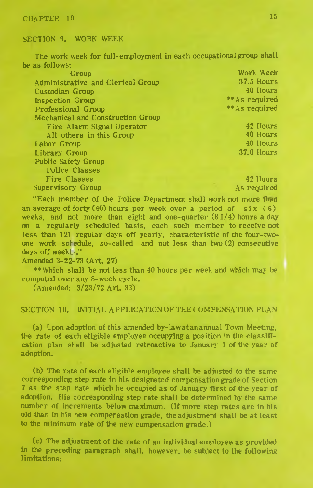#### SECTION 9. WORK WEEK

The work week for full-employment in each occupational group shall be as follows:

| Group                             | Work Week      |
|-----------------------------------|----------------|
| Administrative and Clerical Group | 37.5 Hours     |
| Custodian Group                   | 40 Hours       |
| <b>Inspection Group</b>           | ** As required |
| Professional Group                | **As required  |
| Mechanical and Construction Group |                |
| Fire Alarm Signal Operator        | 42 Hours       |
| All others in this Group          | 40 Hours       |
| Labor Group                       | 40 Hours       |
| Library Group                     | 37.0 Hours     |
| <b>Public Safety Group</b>        |                |
| <b>Police Classes</b>             |                |
| <b>Fire Classes</b>               | 42 Hours       |
| Supervisory Group                 | As required    |

"Each member of the Police Department shall work not more than an average of forty  $(40)$  hours per week over a period of six  $(6)$ weeks, and not more than eight and one-quarter  $(81/4)$  hours a day on a regularly scheduled basis, each such member to receive not less than 121 regular days off yearly, characteristic of the four-twoone work schedule, so-called, and not less than two (2) consecutive days off weekl $\wedge$ "

Amended 3-22-73 (Art. 27)

\*\* Which shall be not less than 40 hours per week and which may be computed over any 8-week cycle.

(Amended: 3/23/72 Art. 33)

#### SECTION 10. INITIAL APPLICATION OF THE COMPENSATION PLAN

(a) Upon adoption of this amended by-lawatanannual Town Meeting, the rate of each eligible employee occupying a position in the classification plan shall be adjusted retroactive to January 1 of the year of adoption.

(b) The rate of each eligible employee shall be adjusted to the same corresponding step rate in his designated compensation grade of Section 7 as the step rate which he occupied as of January first of the year of adoption. His corresponding step rate shall be determined by the same number of increments below maximum. (If more step rates are in his old than in his new compensation grade, the adjustment shall be at least to the minimum rate of the new compensation grade.)

(c) The adjustment of the rate of an individual employee as provided in the preceding paragraph shall, however, be subject to the following limitations: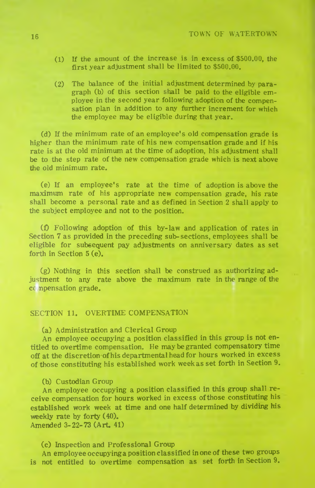- (1) If the amount of the increase is in excess of  $$500.00$ , the first year adjustment shall be limited to \$500.00.
- $(2)$  The balance of the initial adjustment determined by paragraph (b) of this section shall be paid to the eligible employee in the second year following adoption of the compensation plan in addition to any further increment for which the employee may be eligible during that year.

(d) If the minimum rate of an employee's old compensation grade is higher than the minimum rate of his new compensation grade and if his rate is at the old minimum at the time of adoption, his adjustment shall be to the step rate of the new compensation grade which is next above the old minimum rate.

 $(e)$  If an employee's rate at the time of adoption is above the maximum rate of his appropriate new compensation grade, his rate shall become a personal rate and as defined in Section 2 shall apply to the subject employee and not to the position.

 $(f)$  Following adoption of this by-law and application of rates in Section 7 as provided in the preceding sub-sections, employees shall be eligible for subsequent pay adjustments on anniversary dates as set forth in Section  $5(e)$ .

 $(g)$  Nothing in this section shall be construed as authorizing adjustment to any rate above the maximum rate in the range of the cc npensation grade.

## SECTION 11. OVERTIME COMPENSATION

(a) Administration and Clerical Group

An employee occupying a position classified in this group is not entitled to overtime compensation. He may be granted compensatory time off at the discretion of his departmental head for hours worked in excess of those constituting his established work week as set forth in Section 9.

#### (b) Custodian Group

An employee occupying a position classified in this group shall receive compensation for hours worked in excess ofthose constituting his established work week at time and one half determined by dividing his weekly rate by forty (40).

Amended 3-22-73 (Art. 41)

### (c) Inspection and Professional Group

An employee occupying a position classified in one of these two groups is not entitled to overtime compensation as set forth in Section 9.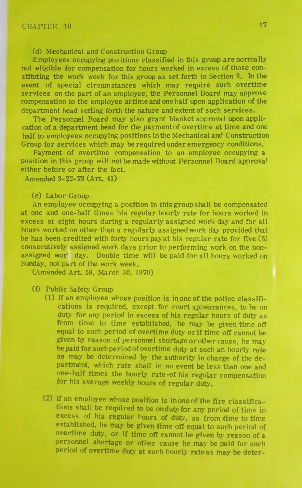Cd) Mechanical and Construction Group

Employees occupying positions classified in this group are normally not eligible for compensation for hours worked in excess of those constituting the work week for this group as set forth in Section 9. In the event of special circumstances which may require such overtime services on the part of an employee, the Personnel Board may approve compensation to the employee at time and one half upon application of the department head setting forth the nature and extent of such services.

The Personnel Board may also grant blanket approval upon application of a department head for the payment of overtime at time and one half to employees occupying positions in the Mechanical and Construction Group for services which may be required under emergency conditions.

Payment of overtime compensation to an employee occupying a position in this group will not be made without Personnel Board approval either before or after the fact.

Amended 3-22-73 (Art. 41)

#### (e) Labor Group

An employee occupying a position in this group shall be compensated at one and one-half times his regular hourly rate for hours worked in excess of eight hours during a regularly assigned work day and for all hours worked on other than a regularly assigned work day provided that he has been credited with forty hours pay at his regular rate for five (5) consecutively assigned work days prior to performing work on the nonassigned worl day. Double time will be paid for all hours worked on Sunday, not part of the work week.

(Amended Art. 59, March 30, 1970)

- (f) Public Safety Group
	- (1) If an employee whose position is in one of the police classifications is required, except for court appearances, to be on duty for any period in excess of his regular hours of duty as from time to time established, he may be given time off equal to such period of overtime duty or if time off cannot be given by reason of personnel shortage or other cause, he may be paid for such period of overtime duty at such an hourly rate. as may be determined by the authority in charge of the department, which rate shall in no event be less than one and one-half times the hourly rate-of his regular compensation for his average weekly hours of regular duty.
	- (2) If an employee whose position is in one of the fire classifications shall be required to be on duty for any period of time in excess of his regular hours of duty, as from time to time established, he may be given time off equal to such period of overtime duty, or if time off cannot be given by reason of a personnel shortage or other cause he may be paid for such period of overtime duty at such hourly rate as may be deter-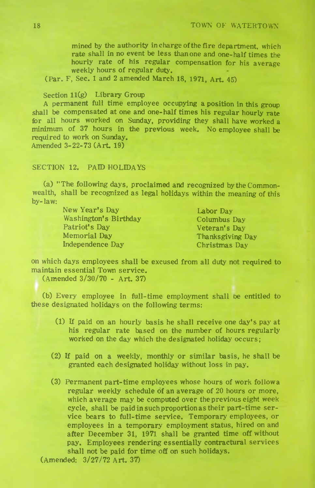mined by the authority in charge of the fire department, which rate shall in no event be less than one and one-half times the hourly rate of his regular compensation for his average weekly hours of regular duty.

(Par. F. Sec. 1 and 2 amended March 18, 1971, Art. 45)

Section 11(g) Library Group

A permanent full time employee occupying a position in this group shall be compensated at one and one-half times his regular hourly rate for all hours worked on Sunday, providing they shall have worked a minimum of 37 hours in the previous week. No employee shall be required to work on Sunday.

Amended 3-22-73 (A rt. 19)

## SECTION 12. PAID HOLIDAYS

(a) "The following days, proclaimed and recognized by the Commonwealth, shall be recognized as legal holidays within the meaning of this by- law:

> New Year's Day Washington's Birthday Patriot's Day Memorial Day Independence Day

Thanksgiving Day Christmas Day Columbus Day Veteran's Day Labor Day

on which days employees shall be excused from all duty not required to maintain essential Town service.

(Amended 3/30/70 - A rt. 37)

(b) Every employee in full-time employment shall be entitled to these designated holidays on the following terms:

- (1) If paid on an hourly basis he shall receive one day's pay at his regular rate based on the number of hours regularly worked on the day which the designated holiday occurs;
- $(2)$  If paid on a weekly, monthly or similar basis, he shall be granted each designated holiday without loss in pay.
- (3) Permanent part-time employees whose hours of work follow a regular weekly schedule of an average of 20 hours or more, which average may be computed over the previous eight week cycle, shall be paid in such proportion as their part-time service bears to full-time service. Temporary employees, or employees in a temporary employment status, hired on and after December 31, 1971 shall be granted time off without pay. Employees rendering essentially contractural services shall not be paid for time off on such holidays.

(Amended: 3/27/72 A rt. 37)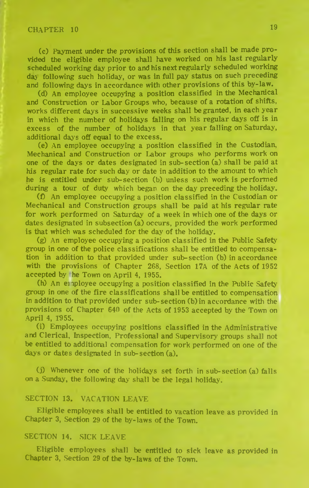(c) Payment under the provisions of this section shall be made provided the eligible employee shall have worked on his last regularly scheduled working day prior to and his next regularly scheduled working day following such holiday, or was in full pay status on such preceding and following days in accordance with other provisions of this by-law.

(d) An employee occupying a position classified in the Mechanical and Construction or Labor Groups who, because of a rotation of shifts, works different days in successive weeks shall be granted, in each year in which the number of holidays falling on his regular days off is in excess of the number of holidays in that year falling on Saturday, additional days off equal to the excess.

(e) An employee occupying a position classified in the Custodian, Mechanical and Construction or Labor groups who performs work on one of the days or dates designated in sub-section (a) shall be paid at his regular rate for such day or date in addition to the amount to which he is entitled under sub-section (b) unless such work is performed during a tour of duty which began on the day preceding the holiday.

(0 An employee occupying a position classified in the Custodian or Mechanical and Construction groups shall be paid at his regular rate for work performed on Saturday of a week in which one of the days or dates designated in subsection (a) occurs, provided the work performed is that which was scheduled for the day of the holiday.

(g) An employee occupying a position classified in the Public Safety' group in one of the police classifications shall be entitled to compensation in addition to that provided under sub- section (b) in accordance with the provisions of Chapter 268, Section 17A of the Acts of 1952 accepted by he Town on April 4, 1955.

(h) An employee occupying a position classified in the Public Safetygroup in one of the fire classifications shall be entitled to compensation in addition to that provided under sub-section (b)in accordance with the provisions of Chapter 640 of the Acts of 1953 accepted by the Town on April 4, 1955.

(i) Employees occupying positions classified in the Administrative and Clerical, Inspection, Professional and Supervisory groups shall not be entitled to additional compensation for work performed on one of the days or dates designated in sub-section (a).

(j) Whenever one of the holidays set forth in sub-section (a) falls on a Sunday, the following day shall be the legal holiday.

#### SECTION 13. VACATION LEAVE

Eligible employees shall be entitled to vacation leave as provided in Chapter 3, Section 29 of the by-laws of the Town.

#### SECTION 14. SICK LEAVE

Eligible employees shall be entitled to sick leave as provided in Chapter 3, Section 29 of the by-laws of the Town.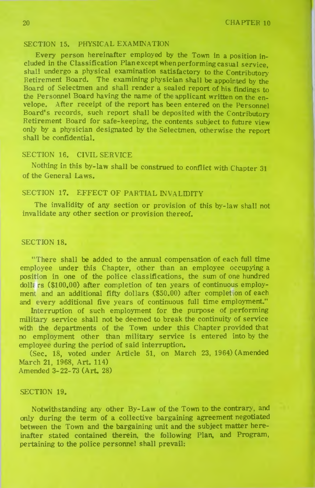20 CHAPTER 10

#### SECTION 15. PHYSICAL EXAMINATION

Every person hereinafter employed by the Town in a position included in the Classification Plan except when performing casual service. shall undergo a physical examination satisfactory to the Contributory Retirement Board. The examining physician shall be appointed by the Board of Selectmen and shall render a sealed report of his findings to the Personnel Board having the name of the applicant written on the envelope. A fter receipt of the report has been entered on the Personnel Board's records, such report shall be deposited with the Contributory Retirement Board for safe-keeping, the contents subject to future view only by a physician designated by the Selectmen, otherwise the report shall be confidential.

## SECTION 16. CIVIL SERVICE

Nothing in this by-law shall be construed to conflict with Chapter 31 of the General Laws.

## SECTION 17. EFFECT OF PARTIAL INVALIDITY

The invalidity of any section or provision of this by-law shall not invalidate any other section or provision thereof.

#### SECTION 18.

"There shall be added to the annual compensation of each full time employee under this Chapter, other than an employee occupying a position in one of the police classifications, the sum of one hundred  $doliz$  rs (\$100.00) after completion of ten years of continuous employment and an additional fifty dollars (\$50.00) after completion of each and every additional five years of continuous full time employment."

Interruption of such employment for the purpose of performing military service shall not be deemed to break the continuity of service with the departments of the Town under this Chapter provided that no employment other than military service is entered into by the employee during the period of said interruption.

(Sec. 18, voted under Article 51, on March 23, 1964) (Amended March 21, 1968, Art. 114) Amended 3-22-73 (A rt. 28)

#### SECTION 19.

Notwithstanding any other By-Law of the Town to the contrary, and only during the term of a collective bargaining agreement negotiated between the Town and the bargaining unit and the subject matter hereinafter stated contained therein, the following Plan, and Program, pertaining to the police personnel shall prevail: